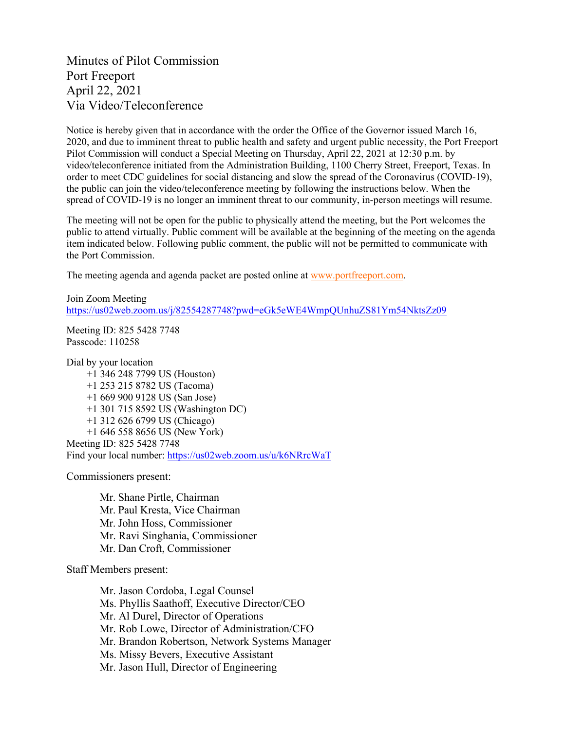Minutes of Pilot Commission Port Freeport April 22, 2021 Via Video/Teleconference

Notice is hereby given that in accordance with the order the Office of the Governor issued March 16, 2020, and due to imminent threat to public health and safety and urgent public necessity, the Port Freeport Pilot Commission will conduct a Special Meeting on Thursday, April 22, 2021 at 12:30 p.m. by video/teleconference initiated from the Administration Building, 1100 Cherry Street, Freeport, Texas. In order to meet CDC guidelines for social distancing and slow the spread of the Coronavirus (COVID-19), the public can join the video/teleconference meeting by following the instructions below. When the spread of COVID-19 is no longer an imminent threat to our community, in-person meetings will resume.

The meeting will not be open for the public to physically attend the meeting, but the Port welcomes the public to attend virtually. Public comment will be available at the beginning of the meeting on the agenda item indicated below. Following public comment, the public will not be permitted to communicate with the Port Commission.

The meeting agenda and agenda packet are posted online at [www.portfreeport.com.](http://www.portfreeport.com/)

Join Zoom Meeting <https://us02web.zoom.us/j/82554287748?pwd=eGk5eWE4WmpQUnhuZS81Ym54NktsZz09>

Meeting ID: 825 5428 7748 Passcode: 110258

Dial by your location +1 346 248 7799 US (Houston) +1 253 215 8782 US (Tacoma) +1 669 900 9128 US (San Jose) +1 301 715 8592 US (Washington DC) +1 312 626 6799 US (Chicago) +1 646 558 8656 US (New York) Meeting ID: 825 5428 7748 Find your local number:<https://us02web.zoom.us/u/k6NRrcWaT>

Commissioners present:

Mr. Shane Pirtle, Chairman Mr. Paul Kresta, Vice Chairman Mr. John Hoss, Commissioner Mr. Ravi Singhania, Commissioner Mr. Dan Croft, Commissioner

Staff Members present:

Mr. Jason Cordoba, Legal Counsel Ms. Phyllis Saathoff, Executive Director/CEO Mr. Al Durel, Director of Operations Mr. Rob Lowe, Director of Administration/CFO Mr. Brandon Robertson, Network Systems Manager Ms. Missy Bevers, Executive Assistant Mr. Jason Hull, Director of Engineering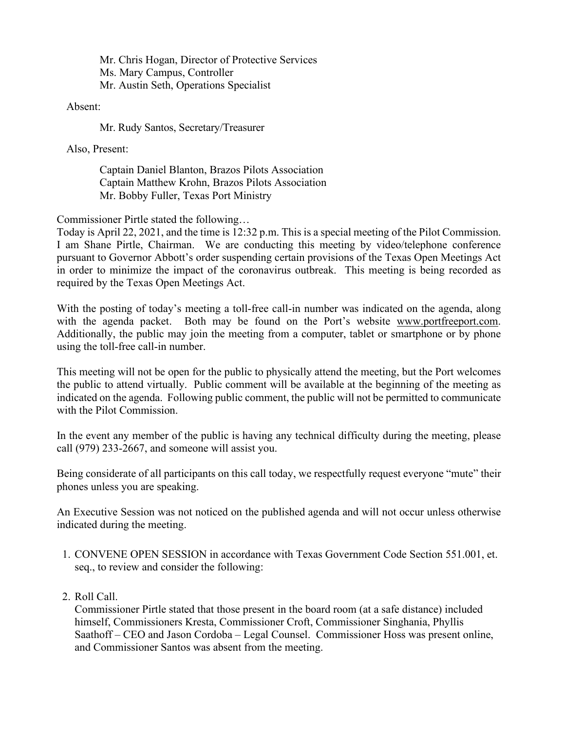Mr. Chris Hogan, Director of Protective Services Ms. Mary Campus, Controller Mr. Austin Seth, Operations Specialist

Absent:

Mr. Rudy Santos, Secretary/Treasurer

Also, Present:

Captain Daniel Blanton, Brazos Pilots Association Captain Matthew Krohn, Brazos Pilots Association Mr. Bobby Fuller, Texas Port Ministry

Commissioner Pirtle stated the following…

Today is April 22, 2021, and the time is 12:32 p.m. This is a special meeting of the Pilot Commission. I am Shane Pirtle, Chairman. We are conducting this meeting by video/telephone conference pursuant to Governor Abbott's order suspending certain provisions of the Texas Open Meetings Act in order to minimize the impact of the coronavirus outbreak. This meeting is being recorded as required by the Texas Open Meetings Act.

With the posting of today's meeting a toll-free call-in number was indicated on the agenda, along with the agenda packet. Both may be found on the Port's website [www.portfreeport.com.](http://www.portfreeport.com/) Additionally, the public may join the meeting from a computer, tablet or smartphone or by phone using the toll-free call-in number.

This meeting will not be open for the public to physically attend the meeting, but the Port welcomes the public to attend virtually. Public comment will be available at the beginning of the meeting as indicated on the agenda. Following public comment, the public will not be permitted to communicate with the Pilot Commission.

In the event any member of the public is having any technical difficulty during the meeting, please call (979) 233-2667, and someone will assist you.

Being considerate of all participants on this call today, we respectfully request everyone "mute" their phones unless you are speaking.

An Executive Session was not noticed on the published agenda and will not occur unless otherwise indicated during the meeting.

- 1. CONVENE OPEN SESSION in accordance with Texas Government Code Section 551.001, et. seq., to review and consider the following:
- 2. Roll Call.

Commissioner Pirtle stated that those present in the board room (at a safe distance) included himself, Commissioners Kresta, Commissioner Croft, Commissioner Singhania, Phyllis Saathoff – CEO and Jason Cordoba – Legal Counsel. Commissioner Hoss was present online, and Commissioner Santos was absent from the meeting.